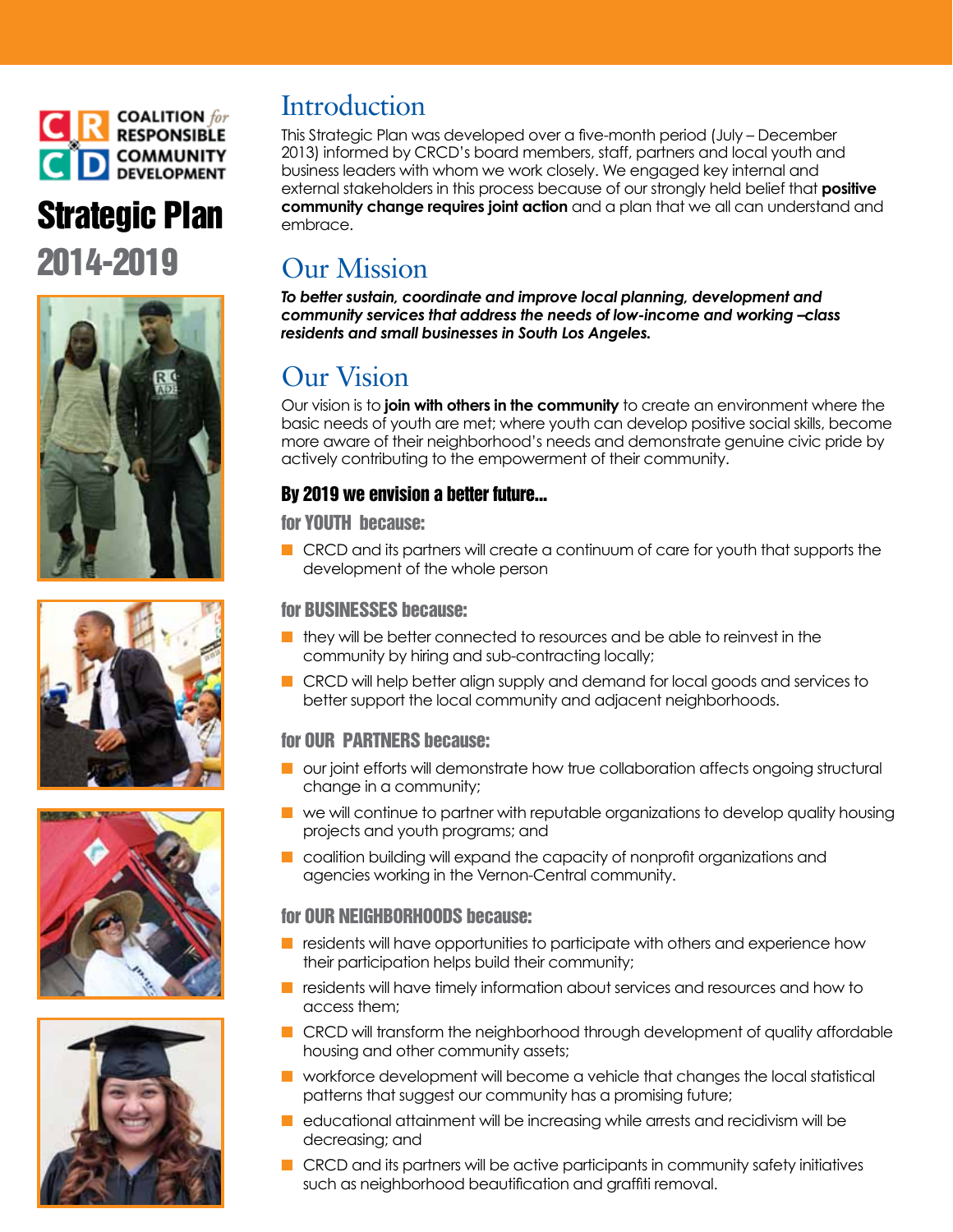

# Strategic Plan 2014-2019









## **Introduction**

This Strategic Plan was developed over a five-month period (July – December 2013) informed by CRCD's board members, staff, partners and local youth and business leaders with whom we work closely. We engaged key internal and external stakeholders in this process because of our strongly held belief that **positive community change requires joint action** and a plan that we all can understand and embrace.

## Our Mission

*To better sustain, coordinate and improve local planning, development and community services that address the needs of low-income and working –class residents and small businesses in South Los Angeles.*

## Our Vision

Our vision is to **join with others in the community** to create an environment where the basic needs of youth are met; where youth can develop positive social skills, become more aware of their neighborhood's needs and demonstrate genuine civic pride by actively contributing to the empowerment of their community.

## By 2019 we envision a better future...

for YOUTH because:

**n** CRCD and its partners will create a continuum of care for youth that supports the development of the whole person

### for BUSINESSES because:

- n they will be better connected to resources and be able to reinvest in the community by hiring and sub-contracting locally;
- n CRCD will help better align supply and demand for local goods and services to better support the local community and adjacent neighborhoods.

### for OUR PARTNERS because:

- $\blacksquare$  our joint efforts will demonstrate how true collaboration affects ongoing structural change in a community;
- $\blacksquare$  we will continue to partner with reputable organizations to develop quality housing projects and youth programs; and
- n coalition building will expand the capacity of nonprofit organizations and agencies working in the Vernon-Central community.

### for OUR NEIGHBORHOODS because:

- $\blacksquare$  residents will have opportunities to participate with others and experience how their participation helps build their community;
- $\blacksquare$  residents will have timely information about services and resources and how to access them;
- **n** CRCD will transform the neighborhood through development of quality affordable housing and other community assets;
- n workforce development will become a vehicle that changes the local statistical patterns that suggest our community has a promising future;
- $\blacksquare$  educational attainment will be increasing while arrests and recidivism will be decreasing; and
- $\blacksquare$  CRCD and its partners will be active participants in community safety initiatives such as neighborhood beautification and graffiti removal.